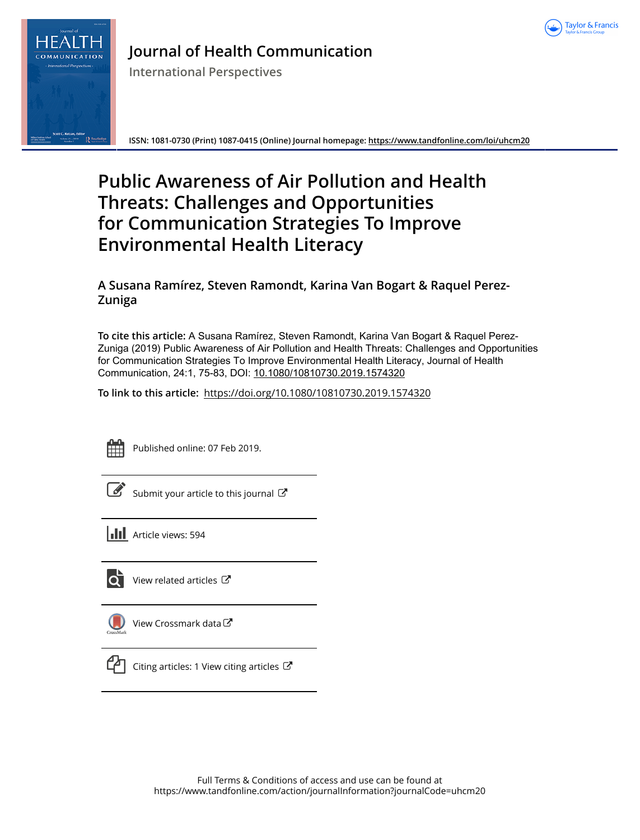



## **Journal of Health Communication**

**International Perspectives**

**ISSN: 1081-0730 (Print) 1087-0415 (Online) Journal homepage:<https://www.tandfonline.com/loi/uhcm20>**

## **Public Awareness of Air Pollution and Health Threats: Challenges and Opportunities for Communication Strategies To Improve Environmental Health Literacy**

## **A Susana Ramírez, Steven Ramondt, Karina Van Bogart & Raquel Perez-Zuniga**

**To cite this article:** A Susana Ramírez, Steven Ramondt, Karina Van Bogart & Raquel Perez-Zuniga (2019) Public Awareness of Air Pollution and Health Threats: Challenges and Opportunities for Communication Strategies To Improve Environmental Health Literacy, Journal of Health Communication, 24:1, 75-83, DOI: [10.1080/10810730.2019.1574320](https://www.tandfonline.com/action/showCitFormats?doi=10.1080/10810730.2019.1574320)

**To link to this article:** <https://doi.org/10.1080/10810730.2019.1574320>

Published online: 07 Feb 2019.

| ł  |
|----|
| ۰. |

[Submit your article to this journal](https://www.tandfonline.com/action/authorSubmission?journalCode=uhcm20&show=instructions)  $\mathbb{Z}$ 

**Article views: 594** 



 $\overrightarrow{Q}$  [View related articles](https://www.tandfonline.com/doi/mlt/10.1080/10810730.2019.1574320)  $\overrightarrow{C}$ 

| $C_{\text{max}}$ . $\mathbf{M}$ . $\mathbf{A}$ | View Crossmark data $\mathbb{Z}$ |
|------------------------------------------------|----------------------------------|
|------------------------------------------------|----------------------------------|



 $\mathbb{C}$  [Citing articles: 1 View citing articles](https://www.tandfonline.com/doi/citedby/10.1080/10810730.2019.1574320#tabModule)  $\mathbb{C}$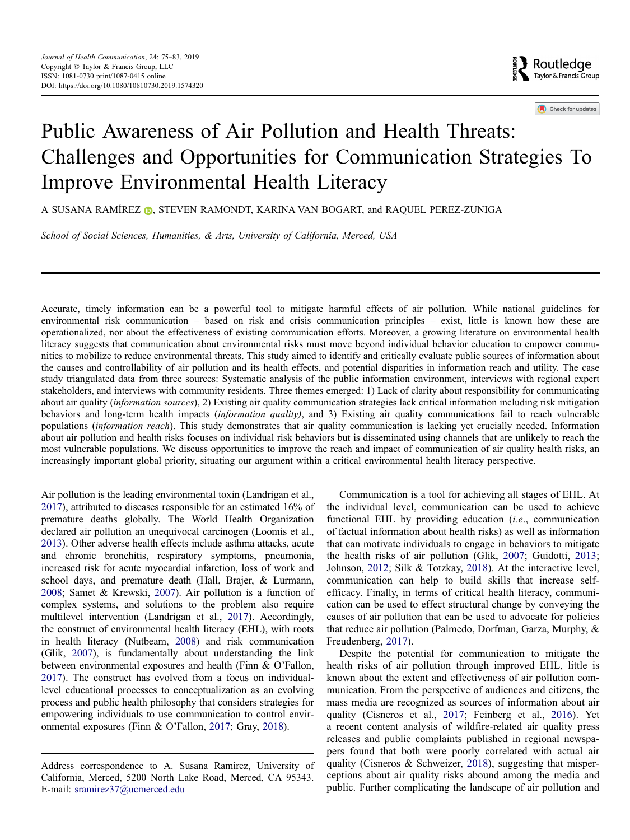**EXP** Routledge Taylor & Francis Group

Check for updates

# Public Awareness of Air Pollution and Health Threats: Challenges and Opportunities for Communication Strategies To Improve Environmental Health Literacy

A SUSANA RAMÍREZ **(b)**[,](http://orcid.org/0000-0002-9095-5358) STEVEN RAMONDT, KARINA VAN BOGART, and RAQUEL PEREZ-ZUNIGA

School of Social Sciences, Humanities, & Arts, University of California, Merced, USA

Accurate, timely information can be a powerful tool to mitigate harmful effects of air pollution. While national guidelines for environmental risk communication – based on risk and crisis communication principles – exist, little is known how these are operationalized, nor about the effectiveness of existing communication efforts. Moreover, a growing literature on environmental health literacy suggests that communication about environmental risks must move beyond individual behavior education to empower communities to mobilize to reduce environmental threats. This study aimed to identify and critically evaluate public sources of information about the causes and controllability of air pollution and its health effects, and potential disparities in information reach and utility. The case study triangulated data from three sources: Systematic analysis of the public information environment, interviews with regional expert stakeholders, and interviews with community residents. Three themes emerged: 1) Lack of clarity about responsibility for communicating about air quality (information sources), 2) Existing air quality communication strategies lack critical information including risk mitigation behaviors and long-term health impacts *(information quality)*, and 3) Existing air quality communications fail to reach vulnerable populations (information reach). This study demonstrates that air quality communication is lacking yet crucially needed. Information about air pollution and health risks focuses on individual risk behaviors but is disseminated using channels that are unlikely to reach the most vulnerable populations. We discuss opportunities to improve the reach and impact of communication of air quality health risks, an increasingly important global priority, situating our argument within a critical environmental health literacy perspective.

<span id="page-1-10"></span><span id="page-1-7"></span><span id="page-1-6"></span><span id="page-1-4"></span>Air pollution is the leading environmental toxin (Landrigan et al., [2017](#page-8-0)), attributed to diseases responsible for an estimated 16% of premature deaths globally. The World Health Organization declared air pollution an unequivocal carcinogen (Loomis et al., [2013](#page-8-1)). Other adverse health effects include asthma attacks, acute and chronic bronchitis, respiratory symptoms, pneumonia, increased risk for acute myocardial infarction, loss of work and school days, and premature death (Hall, Brajer, & Lurmann, [2008](#page-8-2); Samet & Krewski, [2007](#page-9-0)). Air pollution is a function of complex systems, and solutions to the problem also require multilevel intervention (Landrigan et al., [2017](#page-8-0)). Accordingly, the construct of environmental health literacy (EHL), with roots in health literacy (Nutbeam, [2008\)](#page-9-1) and risk communication (Glik, [2007](#page-8-3)), is fundamentally about understanding the link between environmental exposures and health (Finn & O'Fallon, [2017](#page-8-4)). The construct has evolved from a focus on individuallevel educational processes to conceptualization as an evolving process and public health philosophy that considers strategies for empowering individuals to use communication to control environmental exposures (Finn & O'Fallon, [2017](#page-8-4); Gray, [2018](#page-8-5)).

<span id="page-1-5"></span><span id="page-1-3"></span>Communication is a tool for achieving all stages of EHL. At the individual level, communication can be used to achieve functional EHL by providing education (i.e., communication of factual information about health risks) as well as information that can motivate individuals to engage in behaviors to mitigate the health risks of air pollution (Glik, [2007](#page-8-3); Guidotti, [2013](#page-8-6); Johnson, [2012;](#page-8-7) Silk & Totzkay, [2018](#page-9-2)). At the interactive level, communication can help to build skills that increase selfefficacy. Finally, in terms of critical health literacy, communication can be used to effect structural change by conveying the causes of air pollution that can be used to advocate for policies that reduce air pollution (Palmedo, Dorfman, Garza, Murphy, & Freudenberg, [2017](#page-9-3)).

<span id="page-1-9"></span><span id="page-1-1"></span><span id="page-1-0"></span>Despite the potential for communication to mitigate the health risks of air pollution through improved EHL, little is known about the extent and effectiveness of air pollution communication. From the perspective of audiences and citizens, the mass media are recognized as sources of information about air quality (Cisneros et al., [2017;](#page-8-8) Feinberg et al., [2016\)](#page-8-9). Yet a recent content analysis of wildfire-related air quality press releases and public complaints published in regional newspapers found that both were poorly correlated with actual air quality (Cisneros & Schweizer, [2018](#page-8-10)), suggesting that misperceptions about air quality risks abound among the media and public. Further complicating the landscape of air pollution and

<span id="page-1-8"></span><span id="page-1-2"></span>Address correspondence to A. Susana Ramirez, University of California, Merced, 5200 North Lake Road, Merced, CA 95343. E-mail: sramirez37@ucmerced.edu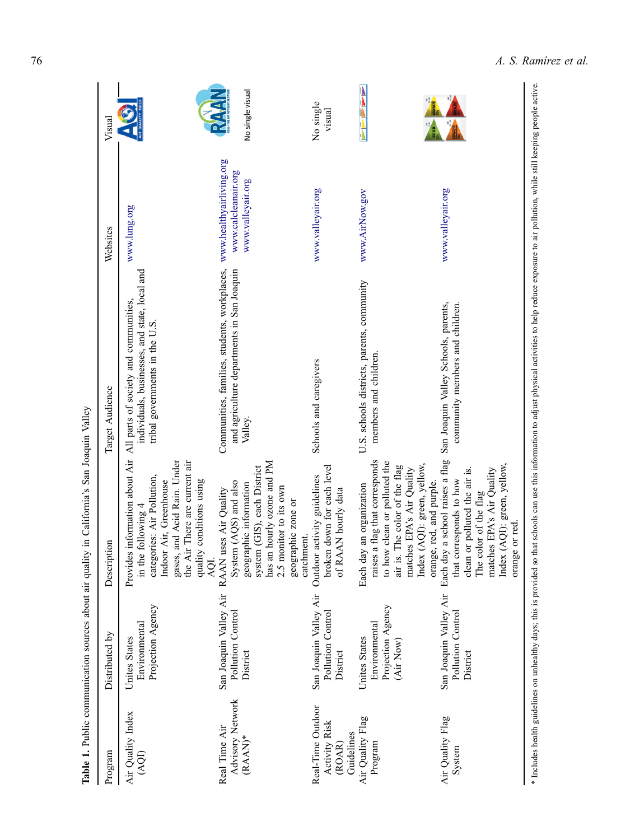<span id="page-2-0"></span>

| Unites States<br>Air Quality Index<br>(AQI)                            |                                             | Description                                                                                                                                                                                                            | Target Audience                                                                                                                                         | Websites                                                             | Visual                          |
|------------------------------------------------------------------------|---------------------------------------------|------------------------------------------------------------------------------------------------------------------------------------------------------------------------------------------------------------------------|---------------------------------------------------------------------------------------------------------------------------------------------------------|----------------------------------------------------------------------|---------------------------------|
|                                                                        | Projection Agency<br>Environmental          | gases, and Acid Rain. Under<br>the Air There are current air<br>categories: Air Pollution,<br>quality conditions using<br>Indoor Air, Greenhouse<br>in the following 4<br>AQI.                                         | individuals, businesses, and state, local and<br>Provides information about Air All parts of society and communities,<br>tribal governments in the U.S. | www.lung.org                                                         |                                 |
| District<br>Advisory Network<br>Real Time Air<br>(RAAN)*               | San Joaquin Valley Air<br>Pollution Control | has an hourly ozone and PM<br>system (GIS), each District<br>System (AQS) and also<br>geographic information<br>2.5 monitor to its own<br>RAAN uses Air Quality<br>geographic zone or<br>catchment.                    | Communities, families, students, workplaces,<br>and agriculture departments in San Joaquin<br>Valley.                                                   | www.healthyairliving.org<br>www.calcleanair.org<br>www.valleyair.org | <b>PAAN</b><br>No single visual |
| District<br>Real-Time Outdoor<br>Activity Risk<br>Guidelines<br>(ROAR) | San Joaquin Valley Air<br>Pollution Control | broken down for each level<br>Outdoor activity guidelines<br>of RAAN hourly data                                                                                                                                       | Schools and caregivers                                                                                                                                  | www.valleyair.org                                                    | No single<br>visual             |
| Unites States<br>(Air Now)<br>Air Quality Flag<br>Program              | Projection Agency<br>Environmental          | a flag that corresponds<br>to how clean or polluted the<br>Index (AQI): green, yellow,<br>air is. The color of the flag<br>matches EPA's Air Quality<br>orange, red, and purple.<br>Each day an organization<br>raises | U.S. schools districts, parents, community<br>members and children.                                                                                     | www.AirNow.gov                                                       |                                 |
| District<br>Air Quality Flag<br>System                                 | San Joaquin Valley Air<br>Pollution Contro  | Each day a school raises a flag<br>Index (AQI): green, yellow,<br>clean or polluted the air is.<br>matches EPA's Air Quality<br>that corresponds to how<br>The color of the flag<br>e or red.<br>orang                 | San Joaquin Valley Schools, parents,<br>community members and children.                                                                                 | www.valleyair.org                                                    |                                 |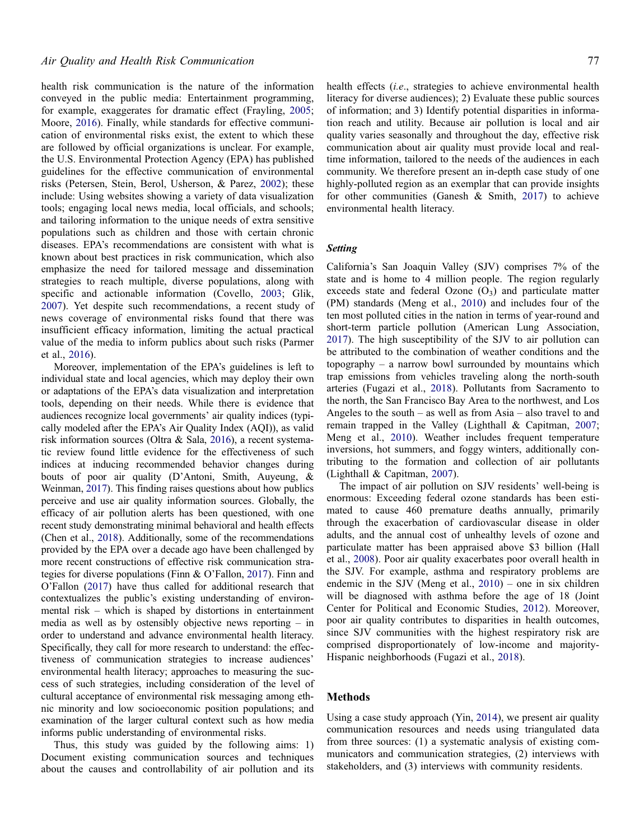<span id="page-3-13"></span><span id="page-3-10"></span><span id="page-3-4"></span>health risk communication is the nature of the information conveyed in the public media: Entertainment programming, for example, exaggerates for dramatic effect (Frayling, [2005](#page-8-11); Moore, [2016\)](#page-9-4). Finally, while standards for effective communication of environmental risks exist, the extent to which these are followed by official organizations is unclear. For example, the U.S. Environmental Protection Agency (EPA) has published guidelines for the effective communication of environmental risks (Petersen, Stein, Berol, Usherson, & Parez, [2002](#page-9-5)); these include: Using websites showing a variety of data visualization tools; engaging local news media, local officials, and schools; and tailoring information to the unique needs of extra sensitive populations such as children and those with certain chronic diseases. EPA's recommendations are consistent with what is known about best practices in risk communication, which also emphasize the need for tailored message and dissemination strategies to reach multiple, diverse populations, along with specific and actionable information (Covello, [2003;](#page-8-12) Glik, [2007\)](#page-8-3). Yet despite such recommendations, a recent study of news coverage of environmental risks found that there was insufficient efficacy information, limiting the actual practical value of the media to inform publics about such risks (Parmer et al., [2016\)](#page-9-6).

<span id="page-3-12"></span><span id="page-3-11"></span><span id="page-3-3"></span><span id="page-3-2"></span><span id="page-3-1"></span>Moreover, implementation of the EPA's guidelines is left to individual state and local agencies, which may deploy their own or adaptations of the EPA's data visualization and interpretation tools, depending on their needs. While there is evidence that audiences recognize local governments' air quality indices (typically modeled after the EPA's Air Quality Index (AQI)), as valid risk information sources (Oltra & Sala, [2016\)](#page-9-7), a recent systematic review found little evidence for the effectiveness of such indices at inducing recommended behavior changes during bouts of poor air quality (D'Antoni, Smith, Auyeung, & Weinman, [2017\)](#page-8-13). This finding raises questions about how publics perceive and use air quality information sources. Globally, the efficacy of air pollution alerts has been questioned, with one recent study demonstrating minimal behavioral and health effects (Chen et al., [2018\)](#page-8-14). Additionally, some of the recommendations provided by the EPA over a decade ago have been challenged by more recent constructions of effective risk communication strategies for diverse populations (Finn & O'Fallon, [2017\)](#page-8-4). Finn and O'Fallon [\(2017\)](#page-8-4) have thus called for additional research that contextualizes the public's existing understanding of environmental risk – which is shaped by distortions in entertainment media as well as by ostensibly objective news reporting – in order to understand and advance environmental health literacy. Specifically, they call for more research to understand: the effectiveness of communication strategies to increase audiences' environmental health literacy; approaches to measuring the success of such strategies, including consideration of the level of cultural acceptance of environmental risk messaging among ethnic minority and low socioeconomic position populations; and examination of the larger cultural context such as how media informs public understanding of environmental risks.

Thus, this study was guided by the following aims: 1) Document existing communication sources and techniques about the causes and controllability of air pollution and its

health effects *(i.e., strategies to achieve environmental health* literacy for diverse audiences); 2) Evaluate these public sources of information; and 3) Identify potential disparities in information reach and utility. Because air pollution is local and air quality varies seasonally and throughout the day, effective risk communication about air quality must provide local and realtime information, tailored to the needs of the audiences in each community. We therefore present an in-depth case study of one highly-polluted region as an exemplar that can provide insights for other communities (Ganesh & Smith, [2017](#page-8-15)) to achieve environmental health literacy.

## <span id="page-3-6"></span>Setting

<span id="page-3-0"></span>California's San Joaquin Valley (SJV) comprises 7% of the state and is home to 4 million people. The region regularly exceeds state and federal Ozone  $(O_3)$  and particulate matter (PM) standards (Meng et al., [2010\)](#page-9-8) and includes four of the ten most polluted cities in the nation in terms of year-round and short-term particle pollution (American Lung Association, [2017\)](#page-8-16). The high susceptibility of the SJV to air pollution can be attributed to the combination of weather conditions and the topography – a narrow bowl surrounded by mountains which trap emissions from vehicles traveling along the north-south arteries (Fugazi et al., [2018](#page-8-17)). Pollutants from Sacramento to the north, the San Francisco Bay Area to the northwest, and Los Angeles to the south – as well as from Asia – also travel to and remain trapped in the Valley (Lighthall & Capitman, [2007](#page-8-18); Meng et al., [2010](#page-9-8)). Weather includes frequent temperature inversions, hot summers, and foggy winters, additionally contributing to the formation and collection of air pollutants (Lighthall & Capitman, [2007](#page-8-18)).

<span id="page-3-9"></span><span id="page-3-8"></span>The impact of air pollution on SJV residents' well-being is enormous: Exceeding federal ozone standards has been estimated to cause 460 premature deaths annually, primarily through the exacerbation of cardiovascular disease in older adults, and the annual cost of unhealthy levels of ozone and particulate matter has been appraised above \$3 billion (Hall et al., [2008](#page-8-2)). Poor air quality exacerbates poor overall health in the SJV. For example, asthma and respiratory problems are endemic in the SJV (Meng et al., [2010](#page-9-8)) – one in six children will be diagnosed with asthma before the age of 18 (Joint Center for Political and Economic Studies, [2012](#page-8-19)). Moreover, poor air quality contributes to disparities in health outcomes, since SJV communities with the highest respiratory risk are comprised disproportionately of low-income and majority-Hispanic neighborhoods (Fugazi et al., [2018](#page-8-17)).

#### <span id="page-3-7"></span><span id="page-3-5"></span>Methods

<span id="page-3-14"></span>Using a case study approach (Yin, [2014](#page-9-9)), we present air quality communication resources and needs using triangulated data from three sources: (1) a systematic analysis of existing communicators and communication strategies, (2) interviews with stakeholders, and (3) interviews with community residents.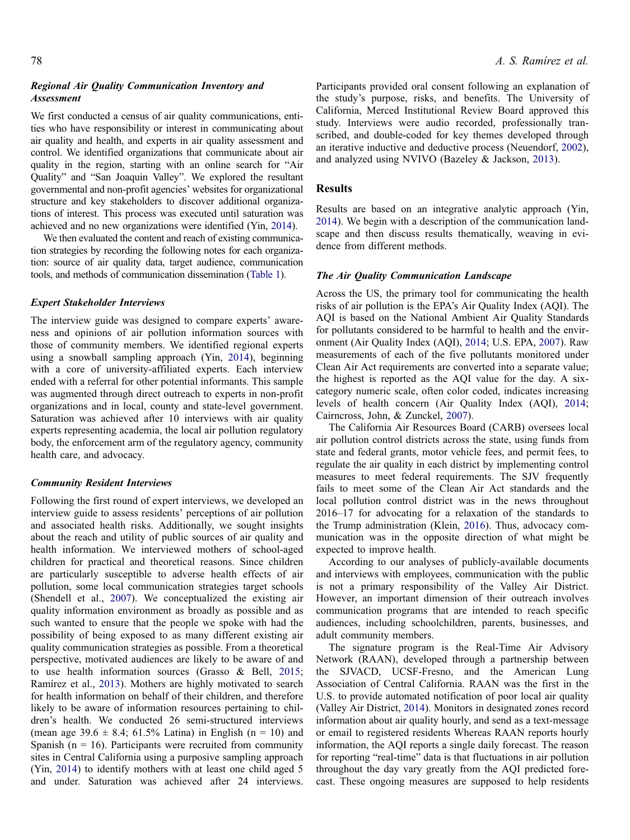## Regional Air Quality Communication Inventory and Assessment

We first conducted a census of air quality communications, entities who have responsibility or interest in communicating about air quality and health, and experts in air quality assessment and control. We identified organizations that communicate about air quality in the region, starting with an online search for "Air Quality" and "San Joaquin Valley". We explored the resultant governmental and non-profit agencies' websites for organizational structure and key stakeholders to discover additional organizations of interest. This process was executed until saturation was achieved and no new organizations were identified (Yin, [2014](#page-9-9)).

We then evaluated the content and reach of existing communication strategies by recording the following notes for each organization: source of air quality data, target audience, communication tools, and methods of communication dissemination ([Table 1](#page-2-0)).

## Expert Stakeholder Interviews

The interview guide was designed to compare experts' awareness and opinions of air pollution information sources with those of community members. We identified regional experts using a snowball sampling approach (Yin, [2014](#page-9-9)), beginning with a core of university-affiliated experts. Each interview ended with a referral for other potential informants. This sample was augmented through direct outreach to experts in non-profit organizations and in local, county and state-level government. Saturation was achieved after 10 interviews with air quality experts representing academia, the local air pollution regulatory body, the enforcement arm of the regulatory agency, community health care, and advocacy.

## Community Resident Interviews

<span id="page-4-8"></span><span id="page-4-6"></span><span id="page-4-3"></span>Following the first round of expert interviews, we developed an interview guide to assess residents' perceptions of air pollution and associated health risks. Additionally, we sought insights about the reach and utility of public sources of air quality and health information. We interviewed mothers of school-aged children for practical and theoretical reasons. Since children are particularly susceptible to adverse health effects of air pollution, some local communication strategies target schools (Shendell et al., [2007\)](#page-9-10). We conceptualized the existing air quality information environment as broadly as possible and as such wanted to ensure that the people we spoke with had the possibility of being exposed to as many different existing air quality communication strategies as possible. From a theoretical perspective, motivated audiences are likely to be aware of and to use health information sources (Grasso & Bell, [2015](#page-8-20); Ramírez et al., [2013](#page-9-11)). Mothers are highly motivated to search for health information on behalf of their children, and therefore likely to be aware of information resources pertaining to children's health. We conducted 26 semi-structured interviews (mean age 39.6  $\pm$  8.4; 61.5% Latina) in English (n = 10) and Spanish ( $n = 16$ ). Participants were recruited from community sites in Central California using a purposive sampling approach (Yin, [2014\)](#page-9-9) to identify mothers with at least one child aged 5 and under. Saturation was achieved after 24 interviews.

Participants provided oral consent following an explanation of the study's purpose, risks, and benefits. The University of California, Merced Institutional Review Board approved this study. Interviews were audio recorded, professionally transcribed, and double-coded for key themes developed through an iterative inductive and deductive process (Neuendorf, [2002](#page-9-12)), and analyzed using NVIVO (Bazeley & Jackson, [2013](#page-8-21)).

## <span id="page-4-5"></span><span id="page-4-1"></span>**Results**

Results are based on an integrative analytic approach (Yin, [2014](#page-9-9)). We begin with a description of the communication landscape and then discuss results thematically, weaving in evidence from different methods.

## The Air Quality Communication Landscape

<span id="page-4-9"></span>Across the US, the primary tool for communicating the health risks of air pollution is the EPA's Air Quality Index (AQI). The AQI is based on the National Ambient Air Quality Standards for pollutants considered to be harmful to health and the environment (Air Quality Index (AQI), [2014;](#page-8-22) U.S. EPA, [2007](#page-9-13)). Raw measurements of each of the five pollutants monitored under Clean Air Act requirements are converted into a separate value; the highest is reported as the AQI value for the day. A sixcategory numeric scale, often color coded, indicates increasing levels of health concern (Air Quality Index (AQI), [2014](#page-8-22); Cairncross, John, & Zunckel, [2007\)](#page-8-23).

<span id="page-4-2"></span><span id="page-4-0"></span>The California Air Resources Board (CARB) oversees local air pollution control districts across the state, using funds from state and federal grants, motor vehicle fees, and permit fees, to regulate the air quality in each district by implementing control measures to meet federal requirements. The SJV frequently fails to meet some of the Clean Air Act standards and the local pollution control district was in the news throughout 2016–17 for advocating for a relaxation of the standards to the Trump administration (Klein, [2016\)](#page-8-24). Thus, advocacy communication was in the opposite direction of what might be expected to improve health.

<span id="page-4-4"></span>According to our analyses of publicly-available documents and interviews with employees, communication with the public is not a primary responsibility of the Valley Air District. However, an important dimension of their outreach involves communication programs that are intended to reach specific audiences, including schoolchildren, parents, businesses, and adult community members.

<span id="page-4-7"></span>The signature program is the Real-Time Air Advisory Network (RAAN), developed through a partnership between the SJVACD, UCSF-Fresno, and the American Lung Association of Central California. RAAN was the first in the U.S. to provide automated notification of poor local air quality (Valley Air District, [2014\)](#page-9-14). Monitors in designated zones record information about air quality hourly, and send as a text-message or email to registered residents Whereas RAAN reports hourly information, the AQI reports a single daily forecast. The reason for reporting "real-time" data is that fluctuations in air pollution throughout the day vary greatly from the AQI predicted forecast. These ongoing measures are supposed to help residents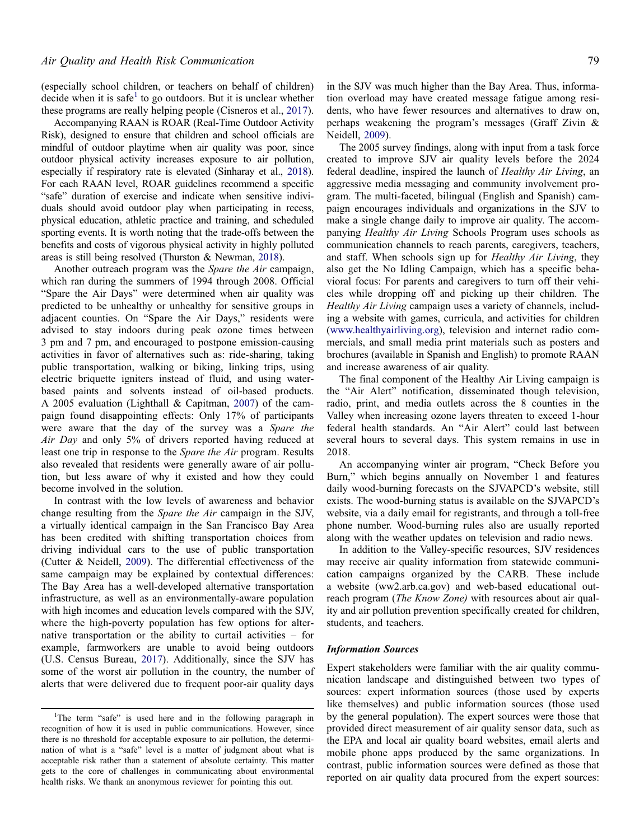(especially school children, or teachers on behalf of children) decide when it is safe<sup>[1](#page-5-0)</sup> to go outdoors. But it is unclear whether these programs are really helping people (Cisneros et al., [2017](#page-8-8)).

<span id="page-5-3"></span>Accompanying RAAN is ROAR (Real-Time Outdoor Activity Risk), designed to ensure that children and school officials are mindful of outdoor playtime when air quality was poor, since outdoor physical activity increases exposure to air pollution, especially if respiratory rate is elevated (Sinharay et al., [2018](#page-9-15)). For each RAAN level, ROAR guidelines recommend a specific "safe" duration of exercise and indicate when sensitive individuals should avoid outdoor play when participating in recess, physical education, athletic practice and training, and scheduled sporting events. It is worth noting that the trade-offs between the benefits and costs of vigorous physical activity in highly polluted areas is still being resolved (Thurston & Newman, [2018\)](#page-9-16).

<span id="page-5-4"></span>Another outreach program was the Spare the Air campaign, which ran during the summers of 1994 through 2008. Official "Spare the Air Days" were determined when air quality was predicted to be unhealthy or unhealthy for sensitive groups in adjacent counties. On "Spare the Air Days," residents were advised to stay indoors during peak ozone times between 3 pm and 7 pm, and encouraged to postpone emission-causing activities in favor of alternatives such as: ride-sharing, taking public transportation, walking or biking, linking trips, using electric briquette igniters instead of fluid, and using waterbased paints and solvents instead of oil-based products. A 2005 evaluation (Lighthall & Capitman, [2007](#page-8-18)) of the campaign found disappointing effects: Only 17% of participants were aware that the day of the survey was a Spare the Air Day and only 5% of drivers reported having reduced at least one trip in response to the Spare the Air program. Results also revealed that residents were generally aware of air pollution, but less aware of why it existed and how they could become involved in the solution.

<span id="page-5-1"></span>In contrast with the low levels of awareness and behavior change resulting from the Spare the Air campaign in the SJV, a virtually identical campaign in the San Francisco Bay Area has been credited with shifting transportation choices from driving individual cars to the use of public transportation (Cutter & Neidell, [2009](#page-8-25)). The differential effectiveness of the same campaign may be explained by contextual differences: The Bay Area has a well-developed alternative transportation infrastructure, as well as an environmentally-aware population with high incomes and education levels compared with the SJV, where the high-poverty population has few options for alternative transportation or the ability to curtail activities – for example, farmworkers are unable to avoid being outdoors (U.S. Census Bureau, [2017](#page-9-17)). Additionally, since the SJV has some of the worst air pollution in the country, the number of alerts that were delivered due to frequent poor-air quality days in the SJV was much higher than the Bay Area. Thus, information overload may have created message fatigue among residents, who have fewer resources and alternatives to draw on, perhaps weakening the program's messages (Graff Zivin & Neidell, [2009](#page-8-26)).

<span id="page-5-2"></span>The 2005 survey findings, along with input from a task force created to improve SJV air quality levels before the 2024 federal deadline, inspired the launch of Healthy Air Living, an aggressive media messaging and community involvement program. The multi-faceted, bilingual (English and Spanish) campaign encourages individuals and organizations in the SJV to make a single change daily to improve air quality. The accompanying Healthy Air Living Schools Program uses schools as communication channels to reach parents, caregivers, teachers, and staff. When schools sign up for Healthy Air Living, they also get the No Idling Campaign, which has a specific behavioral focus: For parents and caregivers to turn off their vehicles while dropping off and picking up their children. The Healthy Air Living campaign uses a variety of channels, including a website with games, curricula, and activities for children [\(www.healthyairliving.org\)](http://www.healthyairliving.org), television and internet radio commercials, and small media print materials such as posters and brochures (available in Spanish and English) to promote RAAN and increase awareness of air quality.

The final component of the Healthy Air Living campaign is the "Air Alert" notification, disseminated though television, radio, print, and media outlets across the 8 counties in the Valley when increasing ozone layers threaten to exceed 1-hour federal health standards. An "Air Alert" could last between several hours to several days. This system remains in use in 2018.

An accompanying winter air program, "Check Before you Burn," which begins annually on November 1 and features daily wood-burning forecasts on the SJVAPCD's website, still exists. The wood-burning status is available on the SJVAPCD's website, via a daily email for registrants, and through a toll-free phone number. Wood-burning rules also are usually reported along with the weather updates on television and radio news.

In addition to the Valley-specific resources, SJV residences may receive air quality information from statewide communication campaigns organized by the CARB. These include a website (ww2.arb.ca.gov) and web-based educational outreach program (*The Know Zone*) with resources about air quality and air pollution prevention specifically created for children, students, and teachers.

### Information Sources

Expert stakeholders were familiar with the air quality communication landscape and distinguished between two types of sources: expert information sources (those used by experts like themselves) and public information sources (those used by the general population). The expert sources were those that provided direct measurement of air quality sensor data, such as the EPA and local air quality board websites, email alerts and mobile phone apps produced by the same organizations. In contrast, public information sources were defined as those that reported on air quality data procured from the expert sources:

<span id="page-5-5"></span><span id="page-5-0"></span><sup>&</sup>lt;sup>1</sup>The term "safe" is used here and in the following paragraph in recognition of how it is used in public communications. However, since there is no threshold for acceptable exposure to air pollution, the determination of what is a "safe" level is a matter of judgment about what is acceptable risk rather than a statement of absolute certainty. This matter gets to the core of challenges in communicating about environmental health risks. We thank an anonymous reviewer for pointing this out.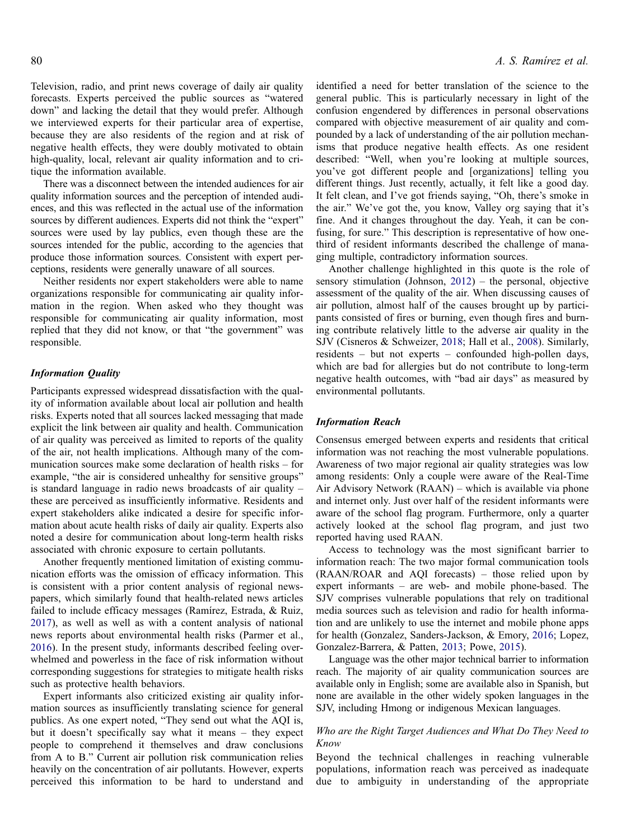Television, radio, and print news coverage of daily air quality forecasts. Experts perceived the public sources as "watered down" and lacking the detail that they would prefer. Although we interviewed experts for their particular area of expertise, because they are also residents of the region and at risk of negative health effects, they were doubly motivated to obtain high-quality, local, relevant air quality information and to critique the information available.

There was a disconnect between the intended audiences for air quality information sources and the perception of intended audiences, and this was reflected in the actual use of the information sources by different audiences. Experts did not think the "expert" sources were used by lay publics, even though these are the sources intended for the public, according to the agencies that produce those information sources. Consistent with expert perceptions, residents were generally unaware of all sources.

Neither residents nor expert stakeholders were able to name organizations responsible for communicating air quality information in the region. When asked who they thought was responsible for communicating air quality information, most replied that they did not know, or that "the government" was responsible.

## Information Quality

Participants expressed widespread dissatisfaction with the quality of information available about local air pollution and health risks. Experts noted that all sources lacked messaging that made explicit the link between air quality and health. Communication of air quality was perceived as limited to reports of the quality of the air, not health implications. Although many of the communication sources make some declaration of health risks – for example, "the air is considered unhealthy for sensitive groups" is standard language in radio news broadcasts of air quality – these are perceived as insufficiently informative. Residents and expert stakeholders alike indicated a desire for specific information about acute health risks of daily air quality. Experts also noted a desire for communication about long-term health risks associated with chronic exposure to certain pollutants.

<span id="page-6-2"></span>Another frequently mentioned limitation of existing communication efforts was the omission of efficacy information. This is consistent with a prior content analysis of regional newspapers, which similarly found that health-related news articles failed to include efficacy messages (Ramírez, Estrada, & Ruiz, [2017\)](#page-9-18), as well as well as with a content analysis of national news reports about environmental health risks (Parmer et al., [2016\)](#page-9-6). In the present study, informants described feeling overwhelmed and powerless in the face of risk information without corresponding suggestions for strategies to mitigate health risks such as protective health behaviors.

Expert informants also criticized existing air quality information sources as insufficiently translating science for general publics. As one expert noted, "They send out what the AQI is, but it doesn't specifically say what it means – they expect people to comprehend it themselves and draw conclusions from A to B." Current air pollution risk communication relies heavily on the concentration of air pollutants. However, experts perceived this information to be hard to understand and

identified a need for better translation of the science to the general public. This is particularly necessary in light of the confusion engendered by differences in personal observations compared with objective measurement of air quality and compounded by a lack of understanding of the air pollution mechanisms that produce negative health effects. As one resident described: "Well, when you're looking at multiple sources, you've got different people and [organizations] telling you different things. Just recently, actually, it felt like a good day. It felt clean, and I've got friends saying, "Oh, there's smoke in the air." We've got the, you know, Valley org saying that it's fine. And it changes throughout the day. Yeah, it can be confusing, for sure." This description is representative of how onethird of resident informants described the challenge of managing multiple, contradictory information sources.

Another challenge highlighted in this quote is the role of sensory stimulation (Johnson, [2012\)](#page-8-7) – the personal, objective assessment of the quality of the air. When discussing causes of air pollution, almost half of the causes brought up by participants consisted of fires or burning, even though fires and burning contribute relatively little to the adverse air quality in the SJV (Cisneros & Schweizer, [2018](#page-8-10); Hall et al., [2008](#page-8-2)). Similarly, residents – but not experts – confounded high-pollen days, which are bad for allergies but do not contribute to long-term negative health outcomes, with "bad air days" as measured by environmental pollutants.

## Information Reach

Consensus emerged between experts and residents that critical information was not reaching the most vulnerable populations. Awareness of two major regional air quality strategies was low among residents: Only a couple were aware of the Real-Time Air Advisory Network (RAAN) – which is available via phone and internet only. Just over half of the resident informants were aware of the school flag program. Furthermore, only a quarter actively looked at the school flag program, and just two reported having used RAAN.

Access to technology was the most significant barrier to information reach: The two major formal communication tools (RAAN/ROAR and AQI forecasts) – those relied upon by expert informants – are web- and mobile phone-based. The SJV comprises vulnerable populations that rely on traditional media sources such as television and radio for health information and are unlikely to use the internet and mobile phone apps for health (Gonzalez, Sanders-Jackson, & Emory, [2016;](#page-8-27) Lopez, Gonzalez-Barrera, & Patten, [2013;](#page-8-28) Powe, [2015\)](#page-9-19).

<span id="page-6-1"></span><span id="page-6-0"></span>Language was the other major technical barrier to information reach. The majority of air quality communication sources are available only in English; some are available also in Spanish, but none are available in the other widely spoken languages in the SJV, including Hmong or indigenous Mexican languages.

## Who are the Right Target Audiences and What Do They Need to Know

Beyond the technical challenges in reaching vulnerable populations, information reach was perceived as inadequate due to ambiguity in understanding of the appropriate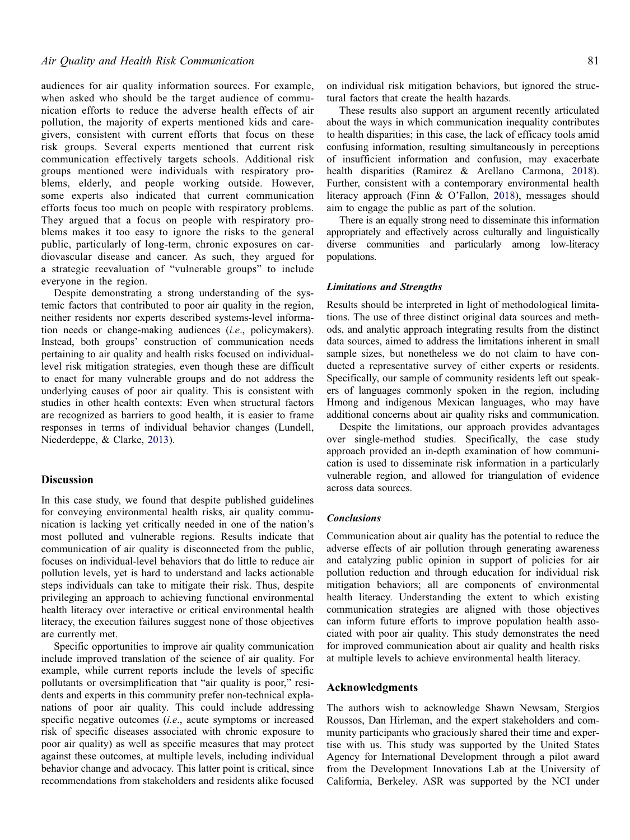audiences for air quality information sources. For example, when asked who should be the target audience of communication efforts to reduce the adverse health effects of air pollution, the majority of experts mentioned kids and caregivers, consistent with current efforts that focus on these risk groups. Several experts mentioned that current risk communication effectively targets schools. Additional risk groups mentioned were individuals with respiratory problems, elderly, and people working outside. However, some experts also indicated that current communication efforts focus too much on people with respiratory problems. They argued that a focus on people with respiratory problems makes it too easy to ignore the risks to the general public, particularly of long-term, chronic exposures on cardiovascular disease and cancer. As such, they argued for a strategic reevaluation of "vulnerable groups" to include everyone in the region.

Despite demonstrating a strong understanding of the systemic factors that contributed to poor air quality in the region, neither residents nor experts described systems-level information needs or change-making audiences (i.e., policymakers). Instead, both groups' construction of communication needs pertaining to air quality and health risks focused on individuallevel risk mitigation strategies, even though these are difficult to enact for many vulnerable groups and do not address the underlying causes of poor air quality. This is consistent with studies in other health contexts: Even when structural factors are recognized as barriers to good health, it is easier to frame responses in terms of individual behavior changes (Lundell, Niederdeppe, & Clarke, [2013](#page-8-29)).

## <span id="page-7-1"></span>Discussion

In this case study, we found that despite published guidelines for conveying environmental health risks, air quality communication is lacking yet critically needed in one of the nation's most polluted and vulnerable regions. Results indicate that communication of air quality is disconnected from the public, focuses on individual-level behaviors that do little to reduce air pollution levels, yet is hard to understand and lacks actionable steps individuals can take to mitigate their risk. Thus, despite privileging an approach to achieving functional environmental health literacy over interactive or critical environmental health literacy, the execution failures suggest none of those objectives are currently met.

Specific opportunities to improve air quality communication include improved translation of the science of air quality. For example, while current reports include the levels of specific pollutants or oversimplification that "air quality is poor," residents and experts in this community prefer non-technical explanations of poor air quality. This could include addressing specific negative outcomes *(i.e., acute symptoms or increased* risk of specific diseases associated with chronic exposure to poor air quality) as well as specific measures that may protect against these outcomes, at multiple levels, including individual behavior change and advocacy. This latter point is critical, since recommendations from stakeholders and residents alike focused on individual risk mitigation behaviors, but ignored the structural factors that create the health hazards.

These results also support an argument recently articulated about the ways in which communication inequality contributes to health disparities; in this case, the lack of efficacy tools amid confusing information, resulting simultaneously in perceptions of insufficient information and confusion, may exacerbate health disparities (Ramirez & Arellano Carmona, [2018](#page-9-20)). Further, consistent with a contemporary environmental health literacy approach (Finn & O'Fallon, [2018\)](#page-8-30), messages should aim to engage the public as part of the solution.

<span id="page-7-2"></span><span id="page-7-0"></span>There is an equally strong need to disseminate this information appropriately and effectively across culturally and linguistically diverse communities and particularly among low-literacy populations.

## Limitations and Strengths

Results should be interpreted in light of methodological limitations. The use of three distinct original data sources and methods, and analytic approach integrating results from the distinct data sources, aimed to address the limitations inherent in small sample sizes, but nonetheless we do not claim to have conducted a representative survey of either experts or residents. Specifically, our sample of community residents left out speakers of languages commonly spoken in the region, including Hmong and indigenous Mexican languages, who may have additional concerns about air quality risks and communication.

Despite the limitations, our approach provides advantages over single-method studies. Specifically, the case study approach provided an in-depth examination of how communication is used to disseminate risk information in a particularly vulnerable region, and allowed for triangulation of evidence across data sources.

### Conclusions

Communication about air quality has the potential to reduce the adverse effects of air pollution through generating awareness and catalyzing public opinion in support of policies for air pollution reduction and through education for individual risk mitigation behaviors; all are components of environmental health literacy. Understanding the extent to which existing communication strategies are aligned with those objectives can inform future efforts to improve population health associated with poor air quality. This study demonstrates the need for improved communication about air quality and health risks at multiple levels to achieve environmental health literacy.

## Acknowledgments

The authors wish to acknowledge Shawn Newsam, Stergios Roussos, Dan Hirleman, and the expert stakeholders and community participants who graciously shared their time and expertise with us. This study was supported by the United States Agency for International Development through a pilot award from the Development Innovations Lab at the University of California, Berkeley. ASR was supported by the NCI under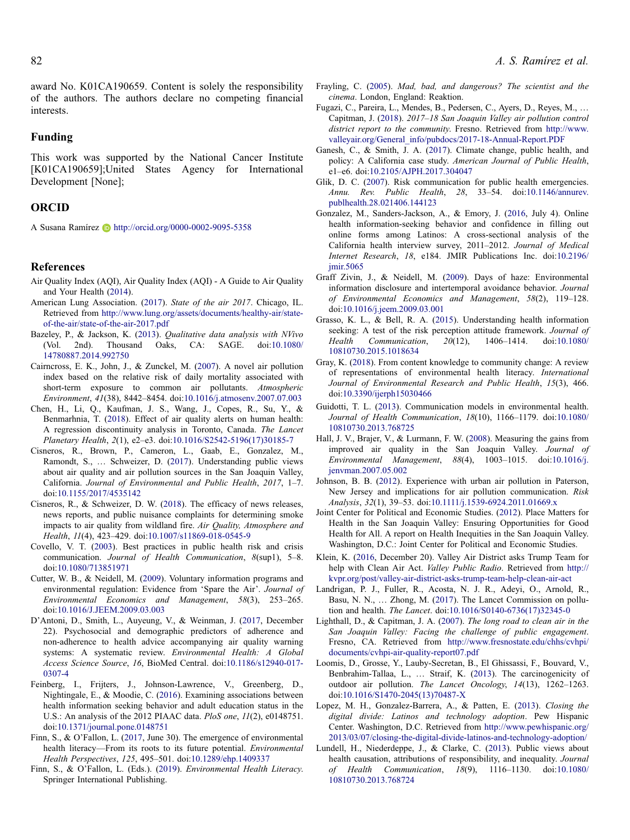award No. K01CA190659. Content is solely the responsibility of the authors. The authors declare no competing financial interests.

## Funding

This work was supported by the National Cancer Institute [K01CA190659];United States Agency for International Development [None];

## ORCID

A Susana Ramírez **b** http://orcid.org/0000-0002-9095-5358

## References

- <span id="page-8-22"></span>Air Quality Index (AQI), Air Quality Index (AQI) - A Guide to Air Quality and Your Health ([2014\)](#page-4-0).
- <span id="page-8-16"></span>American Lung Association. ([2017\)](#page-3-0). State of the air 2017. Chicago, IL. Retrieved from [http://www.lung.org/assets/documents/healthy-air/state](http://www.lung.org/assets/documents/healthy-air/state-of-the-air/state-of-the-air-2017.pdf)[of-the-air/state-of-the-air-2017.pdf](http://www.lung.org/assets/documents/healthy-air/state-of-the-air/state-of-the-air-2017.pdf)
- <span id="page-8-21"></span>Bazeley, P., & Jackson, K. [\(2013](#page-4-1)). Qualitative data analysis with NVivo (Vol. 2nd). Thousand Oaks, CA: SAGE. doi[:10.1080/](http://dx.doi.org/10.1080/14780887.2014.992750) [14780887.2014.992750](http://dx.doi.org/10.1080/14780887.2014.992750)
- <span id="page-8-23"></span>Cairncross, E. K., John, J., & Zunckel, M. [\(2007](#page-4-2)). A novel air pollution index based on the relative risk of daily mortality associated with short-term exposure to common air pollutants. Atmospheric Environment, 41(38), 8442–8454. doi[:10.1016/j.atmosenv.2007.07.003](http://dx.doi.org/10.1016/j.atmosenv.2007.07.003)
- <span id="page-8-14"></span>Chen, H., Li, Q., Kaufman, J. S., Wang, J., Copes, R., Su, Y., & Benmarhnia, T. [\(2018](#page-3-1)). Effect of air quality alerts on human health: A regression discontinuity analysis in Toronto, Canada. The Lancet Planetary Health, 2(1), e2–e3. doi:[10.1016/S2542-5196\(17\)30185-7](http://dx.doi.org/10.1016/S2542-5196(17)30185-7)
- <span id="page-8-8"></span>Cisneros, R., Brown, P., Cameron, L., Gaab, E., Gonzalez, M., Ramondt, S., … Schweizer, D. ([2017\)](#page-1-0). Understanding public views about air quality and air pollution sources in the San Joaquin Valley, California. Journal of Environmental and Public Health, 2017, 1–7. doi[:10.1155/2017/4535142](http://dx.doi.org/10.1155/2017/4535142)
- <span id="page-8-10"></span>Cisneros, R., & Schweizer, D. W. [\(2018](#page-1-1)). The efficacy of news releases, news reports, and public nuisance complaints for determining smoke impacts to air quality from wildland fire. Air Quality, Atmosphere and Health, 11(4), 423–429. doi:[10.1007/s11869-018-0545-9](http://dx.doi.org/10.1007/s11869-018-0545-9)
- <span id="page-8-12"></span>Covello, V. T. ([2003\)](#page-3-2). Best practices in public health risk and crisis communication. Journal of Health Communication, 8(sup1), 5–8. doi[:10.1080/713851971](http://dx.doi.org/10.1080/713851971)
- <span id="page-8-25"></span>Cutter, W. B., & Neidell, M. ([2009\)](#page-5-1). Voluntary information programs and environmental regulation: Evidence from 'Spare the Air'. Journal of Environmental Economics and Management, 58(3), 253–265. doi[:10.1016/J.JEEM.2009.03.003](http://dx.doi.org/10.1016/J.JEEM.2009.03.003)
- <span id="page-8-13"></span>D'Antoni, D., Smith, L., Auyeung, V., & Weinman, J. ([2017,](#page-3-3) December 22). Psychosocial and demographic predictors of adherence and non-adherence to health advice accompanying air quality warning systems: A systematic review. Environmental Health: A Global Access Science Source, 16, BioMed Central. doi[:10.1186/s12940-017-](http://dx.doi.org/10.1186/s12940-017-0307-4) [0307-4](http://dx.doi.org/10.1186/s12940-017-0307-4)
- <span id="page-8-9"></span>Feinberg, I., Frijters, J., Johnson-Lawrence, V., Greenberg, D., Nightingale, E., & Moodie, C. [\(2016](#page-1-0)). Examining associations between health information seeking behavior and adult education status in the U.S.: An analysis of the 2012 PIAAC data. PloS one, 11(2), e0148751. doi[:10.1371/journal.pone.0148751](http://dx.doi.org/10.1371/journal.pone.0148751)
- <span id="page-8-4"></span>Finn, S., & O'Fallon, L. [\(2017](#page-1-2), June 30). The emergence of environmental health literacy—From its roots to its future potential. Environmental Health Perspectives, 125, 495–501. doi[:10.1289/ehp.1409337](http://dx.doi.org/10.1289/ehp.1409337)
- <span id="page-8-30"></span>Finn, S., & O'Fallon, L. (Eds.). ([2019\)](#page-7-0). Environmental Health Literacy. Springer International Publishing.
- <span id="page-8-11"></span>Frayling, C. [\(2005](#page-3-4)). Mad, bad, and dangerous? The scientist and the cinema. London, England: Reaktion.
- <span id="page-8-17"></span>Fugazi, C., Pareira, L., Mendes, B., Pedersen, C., Ayers, D., Reyes, M., … Capitman, J. ([2018\)](#page-3-5). 2017–18 San Joaquin Valley air pollution control district report to the community. Fresno. Retrieved from [http://www.](http://www.valleyair.org/General_info/pubdocs/2017-18-Annual-Report.PDF) [valleyair.org/General\\_info/pubdocs/2017-18-Annual-Report.PDF](http://www.valleyair.org/General_info/pubdocs/2017-18-Annual-Report.PDF)
- <span id="page-8-15"></span>Ganesh, C., & Smith, J. A. [\(2017](#page-3-6)). Climate change, public health, and policy: A California case study. American Journal of Public Health, e1–e6. doi[:10.2105/AJPH.2017.304047](http://dx.doi.org/10.2105/AJPH.2017.304047)
- <span id="page-8-3"></span>Glik, D. C. ([2007\)](#page-1-3). Risk communication for public health emergencies. Annu. Rev. Public Health, 28, 33–54. doi[:10.1146/annurev.](http://dx.doi.org/10.1146/annurev.publhealth.28.021406.144123) [publhealth.28.021406.144123](http://dx.doi.org/10.1146/annurev.publhealth.28.021406.144123)
- <span id="page-8-27"></span>Gonzalez, M., Sanders-Jackson, A., & Emory, J. ([2016](#page-6-0), July 4). Online health information-seeking behavior and confidence in filling out online forms among Latinos: A cross-sectional analysis of the California health interview survey, 2011–2012. Journal of Medical Internet Research, 18, e184. JMIR Publications Inc. doi[:10.2196/](http://dx.doi.org/10.2196/jmir.5065) [jmir.5065](http://dx.doi.org/10.2196/jmir.5065)
- <span id="page-8-26"></span>Graff Zivin, J., & Neidell, M. [\(2009](#page-5-2)). Days of haze: Environmental information disclosure and intertemporal avoidance behavior. Journal of Environmental Economics and Management, 58(2), 119–128. doi[:10.1016/j.jeem.2009.03.001](http://dx.doi.org/10.1016/j.jeem.2009.03.001)
- <span id="page-8-20"></span>Grasso, K. L., & Bell, R. A. ([2015\)](#page-4-3). Understanding health information seeking: A test of the risk perception attitude framework. Journal of Health Communication, 20(12), 1406–1414. doi[:10.1080/](http://dx.doi.org/10.1080/10810730.2015.1018634) [10810730.2015.1018634](http://dx.doi.org/10.1080/10810730.2015.1018634)
- <span id="page-8-5"></span>Gray, K. [\(2018](#page-1-2)). From content knowledge to community change: A review of representations of environmental health literacy. International Journal of Environmental Research and Public Health, 15(3), 466. doi[:10.3390/ijerph15030466](http://dx.doi.org/10.3390/ijerph15030466)
- <span id="page-8-6"></span>Guidotti, T. L. ([2013\)](#page-1-3). Communication models in environmental health. Journal of Health Communication, 18(10), 1166–1179. doi[:10.1080/](http://dx.doi.org/10.1080/10810730.2013.768725) [10810730.2013.768725](http://dx.doi.org/10.1080/10810730.2013.768725)
- <span id="page-8-2"></span>Hall, J. V., Brajer, V., & Lurmann, F. W. [\(2008](#page-1-4)). Measuring the gains from improved air quality in the San Joaquin Valley. Journal of Environmental Management, 88(4), 1003–1015. doi:[10.1016/j.](http://dx.doi.org/10.1016/j.jenvman.2007.05.002) [jenvman.2007.05.002](http://dx.doi.org/10.1016/j.jenvman.2007.05.002)
- <span id="page-8-7"></span>Johnson, B. B. [\(2012](#page-1-5)). Experience with urban air pollution in Paterson, New Jersey and implications for air pollution communication. Risk Analysis, 32(1), 39–53. doi[:10.1111/j.1539-6924.2011.01669.x](http://dx.doi.org/10.1111/j.1539-6924.2011.01669.x)
- <span id="page-8-19"></span>Joint Center for Political and Economic Studies. ([2012\)](#page-3-7). Place Matters for Health in the San Joaquin Valley: Ensuring Opportunities for Good Health for All. A report on Health Inequities in the San Joaquin Valley. Washington, D.C.: Joint Center for Political and Economic Studies.
- <span id="page-8-24"></span>Klein, K. [\(2016](#page-4-4), December 20). Valley Air District asks Trump Team for help with Clean Air Act. Valley Public Radio. Retrieved from [http://](http://kvpr.org/post/valley-air-district-asks-trump-team-help-clean-air-act) [kvpr.org/post/valley-air-district-asks-trump-team-help-clean-air-act](http://kvpr.org/post/valley-air-district-asks-trump-team-help-clean-air-act)
- <span id="page-8-0"></span>Landrigan, P. J., Fuller, R., Acosta, N. J. R., Adeyi, O., Arnold, R., Basu, N. N., … Zhong, M. ([2017\)](#page-1-6). The Lancet Commission on pollution and health. The Lancet. doi:[10.1016/S0140-6736\(17\)32345-0](http://dx.doi.org/10.1016/S0140-6736(17)32345-0)
- <span id="page-8-18"></span>Lighthall, D., & Capitman, J. A. [\(2007](#page-3-8)). The long road to clean air in the San Joaquin Valley: Facing the challenge of public engagement. Fresno, CA. Retrieved from [http://www.fresnostate.edu/chhs/cvhpi/](http://www.fresnostate.edu/chhs/cvhpi/documents/cvhpi-air-quality-report07.pdf) [documents/cvhpi-air-quality-report07.pdf](http://www.fresnostate.edu/chhs/cvhpi/documents/cvhpi-air-quality-report07.pdf)
- <span id="page-8-1"></span>Loomis, D., Grosse, Y., Lauby-Secretan, B., El Ghissassi, F., Bouvard, V., Benbrahim-Tallaa, L., … Straif, K. ([2013\)](#page-1-7). The carcinogenicity of outdoor air pollution. The Lancet Oncology, 14(13), 1262–1263. doi[:10.1016/S1470-2045\(13\)70487-X](http://dx.doi.org/10.1016/S1470-2045(13)70487-X)
- <span id="page-8-28"></span>Lopez, M. H., Gonzalez-Barrera, A., & Patten, E. [\(2013](#page-6-1)). Closing the digital divide: Latinos and technology adoption. Pew Hispanic Center. Washington, D.C. Retrieved from [http://www.pewhispanic.org/](http://www.pewhispanic.org/2013/03/07/closing-the-digital-divide-latinos-and-technology-adoption/) [2013/03/07/closing-the-digital-divide-latinos-and-technology-adoption/](http://www.pewhispanic.org/2013/03/07/closing-the-digital-divide-latinos-and-technology-adoption/)
- <span id="page-8-29"></span>Lundell, H., Niederdeppe, J., & Clarke, C. ([2013\)](#page-7-1). Public views about health causation, attributions of responsibility, and inequality. Journal of Health Communication, 18(9), 1116–1130. doi[:10.1080/](http://dx.doi.org/10.1080/10810730.2013.768724) [10810730.2013.768724](http://dx.doi.org/10.1080/10810730.2013.768724)